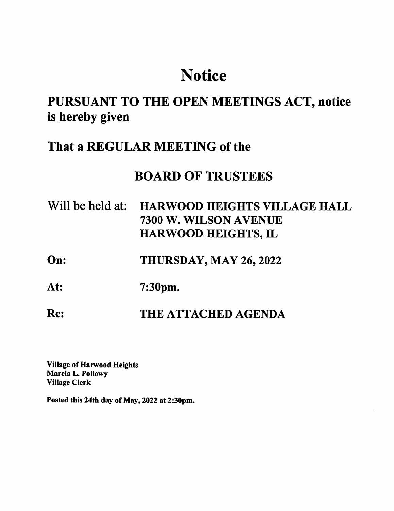# **Notice**

## PURSUANT TO THE OPEN MEETINGS ACT, notice is hereby given

### That a REGULAR MEETING of the

### BOARD OF TRUSTEES

| Will be held at: HARWOOD HEIGHTS VILLAGE HALL |
|-----------------------------------------------|
| 7300 W. WILSON AVENUE                         |
| <b>HARWOOD HEIGHTS, IL</b>                    |

- On: THURSDAY, MAY 26,2022
- At: 7:30pm.

### Re: THE ATTACHED AGENDA

Village of Harwood Heights Marcia L. Pollowy Village Clerk

Posted this 24th day of May, 2022 at 2:30pm.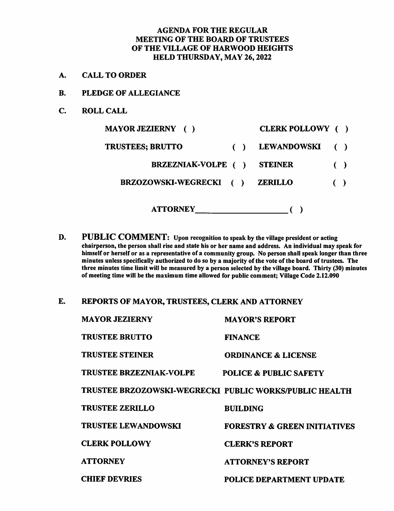#### AGENDA FOR THE REGULAR MEETING OF THE BOARD OF TRUSTEES OF THE VILLAGE OF HARWOOD HEIGHTS HELD THURSDAY, MAY 26,2022

- A. CALL TO ORDER
- B. PLEDGE OF ALLEGIANCE
- C. ROLL CALL

| <b>MAYOR JEZIERNY</b> ()        | CLERK POLLOWY ()   |                        |  |
|---------------------------------|--------------------|------------------------|--|
| <b>TRUSTEES; BRUTTO</b>         | <b>LEWANDOWSKI</b> |                        |  |
| <b>BRZEZNIAK-VOLPE</b> ()       | <b>STEINER</b>     | $\left( \quad \right)$ |  |
| <b>BRZOZOWSKI-WEGRECKI</b><br>( | <b>ZERILLO</b>     |                        |  |
| <b>ATTORNEY</b>                 |                    |                        |  |

- D. PUBLIC COMMENT: Upon recognition to speak by the village president or acting chairperson, the person shall rise and state his or her name and address. An individual may speak for himself or herself or as a representative of a community group. No person shall speak longer than three minutes unless specifically authorized to do so by a majority of the vote of the board of trustees. The three minutes time limit will be measured by a person selected by the village board. Thirty (30) minutes of meeting time will be the maximum time allowed for public comment; Village Code 2.12.090
- E. REPORTS OF MAYOR, TRUSTEES, CLERK AND ATTORNEY

| <b>MAYOR JEZIERNY</b>          | <b>MAYOR'S REPORT</b>                                  |
|--------------------------------|--------------------------------------------------------|
| <b>TRUSTEE BRUTTO</b>          | <b>FINANCE</b>                                         |
| <b>TRUSTEE STEINER</b>         | <b>ORDINANCE &amp; LICENSE</b>                         |
| <b>TRUSTEE BRZEZNIAK-VOLPE</b> | <b>POLICE &amp; PUBLIC SAFETY</b>                      |
|                                | TRUSTEE BRZOZOWSKI-WEGRECKI PUBLIC WORKS/PUBLIC HEALTH |
| <b>TRUSTEE ZERILLO</b>         | <b>BUILDING</b>                                        |
| <b>TRUSTEE LEWANDOWSKI</b>     | <b>FORESTRY &amp; GREEN INITIATIVES</b>                |
| <b>CLERK POLLOWY</b>           | <b>CLERK'S REPORT</b>                                  |
| <b>ATTORNEY</b>                | <b>ATTORNEY'S REPORT</b>                               |
| <b>CHIEF DEVRIES</b>           | POLICE DEPARTMENT UPDATE                               |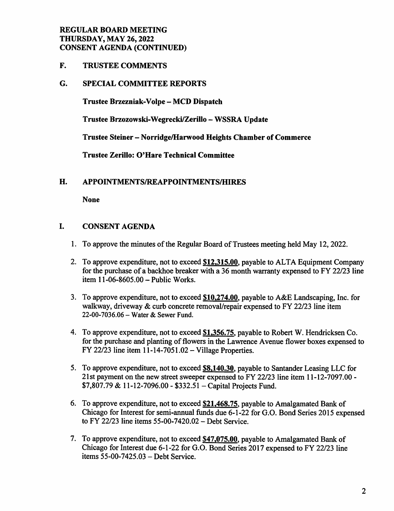#### REGULAR BOARD MEETING THURSDAY, MAY 26,2022 CONSENT AGENDA (CONTINUED)

F. TRUSTEE COMMENTS

#### G. SPECIAL COMMITTEE REPORTS

Trustee Brzezniak-Volpe - MCD Dispatch

Trustee Brzozowski-Wegrecki/Zerillo - WSSRA Update

Trustee Steiner - Norridge/Harwood Heights Chamber of Commerce

Trustee Zerillo: O'Hare Technical Committee

#### H. APPOINTMENTS/REAPPOINTMENTS/HIRES

None

#### I. CONSENT AGENDA

- 1. To approve the minutes of the Regular Board of Trustees meeting held May 12,2022.
- 2. To approve expenditure, not to exceed \$12,315.00, payable to ALTA Equipment Company for the purchase of a backhoe breaker with a 36 month warranty expensed to FY 22/23 line item 11-06-8605.00 - Public Works.
- 3. To approve expenditure, not to exceed \$10.274.00. payable to A&E Landscaping, Inc. for walkway, driveway & curb concrete removal/repair expensed to FY 22/23 line item 22-00-7036.06 - Water & Sewer Fund.
- 4. To approve expenditure, not to exceed \$1,356.75, payable to Robert W. Hendricksen Co. for the purchase and planting of flowers in the Lawrence Avenue flower boxes expensed to FY 22/23 line item 11-14-7051.02 - Village Properties.
- 5. To approve expenditure, not to exceed **\$8,140.30**, payable to Santander Leasing LLC for 21st payment on the new street sweeper expensed to FY 22/23 line item 11-12-7097.00 -  $$7,807.79 \& 11-12-7096.00 - $332.51 - Capital Projects Fund.$
- 6. To approve expenditure, not to exceed \$21.468.75. payable to Amalgamated Bank of Chicago for Interest for semi-annual funds due 6-1-22 for G.O. Bond Series 2015 expensed to FY 22/23 line items 55-00-7420.02 - Debt Service.
- 7. To approve expenditure, not to exceed \$47,075.00, payable to Amalgamated Bank of Chicago for Interest due 6-1-22 for G.O. Bond Series 2017 expensed to FY 22/23 line items 55-00-7425.03 - Debt Service.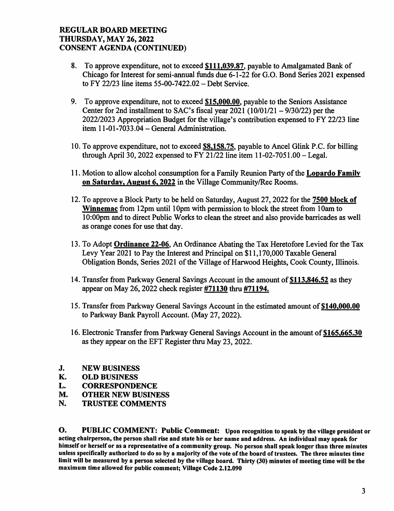#### REGULAR BOARD MEETING THURSDAY, MAY 26,2022 CONSENT AGENDA (CONTINUED)

- 8. To approve expenditure, not to exceed \$111,039.87, payable to Amalgamated Bank of Chicago for Interest for semi-annual funds due 6-1-22 for G.O. Bond Series 2021 expensed to FY 22/23 line items  $55-00-7422.02$  – Debt Service.
- 9. To approve expenditure, not to exceed \$15,000.00. payable to the Seniors Assistance Center for 2nd installment to SAC's fiscal year  $2021 (10/01/21 - 9/30/22)$  per the 2022/2023 Appropriation Budget for the village's contribution expensed to FY 22/23 line item  $11-01-7033.04$  – General Administration.
- 10. To approve expenditure, not to exceed \$8,158.75. payable to Ancel Glink P.C. for billing through April 30, 2022 expensed to FY 21/22 line item  $11-02-7051.00$  - Legal.
- 11. Motion to allow alcohol consumption for a Family Reunion Party of the Lopardo Family on Saturday, August 6,2022 in the Village Community/Rec Rooms.
- 12. To approve a Block Party to be held on Saturday, August 27,2022 for the 7500 block of Winnemac from 12pm until 10pm with permission to block the street from 10am to 10:00pm and to direct Public Works to clean the street and also provide barricades as well as orange cones for use that day.
- 13. To Adopt Ordinance 22-06. An Ordinance Abating the Tax Heretofore Levied for the Tax Levy Year 2021 to Pay the Interest and Principal on \$11,170,000 Taxable General Obligation Bonds, Series 2021 of the Village of Harwood Heights, Cook County, Illinois.
- 14. Transfer from Parkway General Savings Account in the amount of \$113,846.52 as they appear on May 26,2022 check register #71130 thru #71194.
- 15. Transfer from Parkway General Savings Account in the estimated amount of \$140,000.00 to Parkway Bank Payroll Account. (May 27,2022).
- 16. Electronic Transfer from Parkway General Savings Account in the amount of \$165,665.30 as they appear on the EFT Register thru May 23, 2022.
- J. NEW BUSINESS
- K. OLD BUSINESS
- L. CORRESPONDENCE
- M. OTHER NEW BUSINESS<br>N. TRUSTEE COMMENTS
- TRUSTEE COMMENTS

O. PUBLIC COMMENT: Public Comment: Upon recognition to speak by the village president or acting chairperson, the person shall rise and state his or her name and address. An individual may speak for himself or herself or as a representative of a community group. No person shall speak longer than three minutes unless specifically authorized to do so by a majority of the vote of the board of trustees. The three minutes time limit will be measured by a person selected by the village board. Thirty (30) minutes of meeting time will be the maximum time allowed for public comment; Village Code 2.12.090